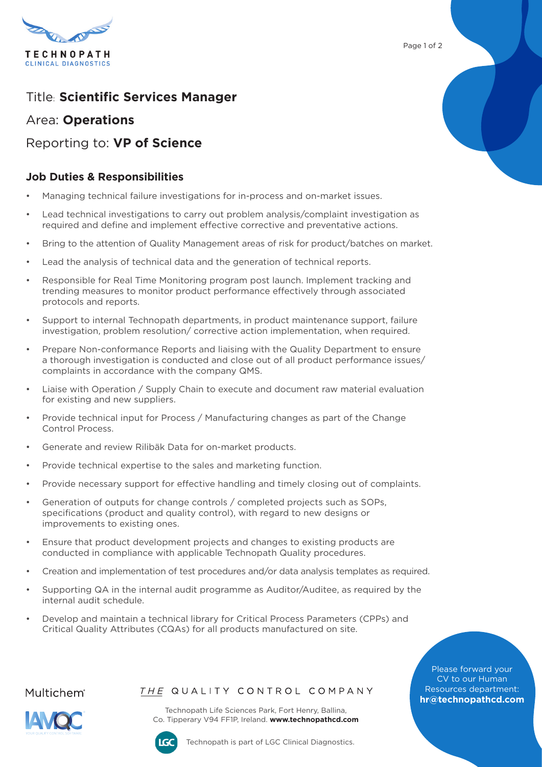

Page 1 of 2

# Title: **Scientific Services Manager**

### Area: **Operations**

## Reporting to: **VP of Science**

### **Job Duties & Responsibilities**

- Managing technical failure investigations for in-process and on-market issues.
- Lead technical investigations to carry out problem analysis/complaint investigation as required and define and implement effective corrective and preventative actions.
- Bring to the attention of Quality Management areas of risk for product/batches on market.
- Lead the analysis of technical data and the generation of technical reports.
- Responsible for Real Time Monitoring program post launch. Implement tracking and trending measures to monitor product performance effectively through associated protocols and reports.
- Support to internal Technopath departments, in product maintenance support, failure investigation, problem resolution/ corrective action implementation, when required.
- Prepare Non-conformance Reports and liaising with the Quality Department to ensure a thorough investigation is conducted and close out of all product performance issues/ complaints in accordance with the company QMS.
- Liaise with Operation / Supply Chain to execute and document raw material evaluation for existing and new suppliers.
- Provide technical input for Process / Manufacturing changes as part of the Change Control Process.
- Generate and review Rilibäk Data for on-market products.
- Provide technical expertise to the sales and marketing function.
- Provide necessary support for effective handling and timely closing out of complaints.
- Generation of outputs for change controls / completed projects such as SOPs, specifications (product and quality control), with regard to new designs or improvements to existing ones.
- Ensure that product development projects and changes to existing products are conducted in compliance with applicable Technopath Quality procedures.
- Creation and implementation of test procedures and/or data analysis templates as required.
- Supporting QA in the internal audit programme as Auditor/Auditee, as required by the internal audit schedule.
- Develop and maintain a technical library for Critical Process Parameters (CPPs) and Critical Quality Attributes (CQAs) for all products manufactured on site.

Please forward your CV to our Human Resources department: **[hr@technopathcd.com](mailto:hr%40technopathcd.com?subject=)**

Multichem<sup>®</sup>

#### THE QUALITY CONTROL COMPANY

Technopath Life Sciences Park, Fort Henry, Ballina, Co. Tipperary V94 FF1P, Ireland. **[www.technopathcd.com](https://www.technopathclinicaldiagnostics.com)**